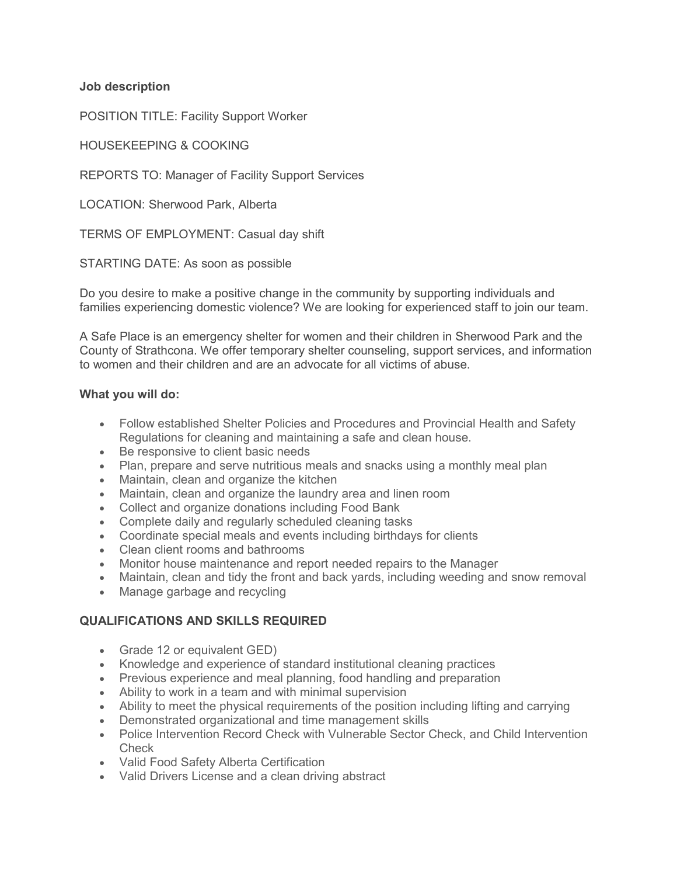**Job description**

POSITION TITLE: Facility Support Worker

HOUSEKEEPING & COOKING

REPORTS TO: Manager of Facility Support Services

LOCATION: Sherwood Park, Alberta

TERMS OF EMPLOYMENT: Casual day shift

STARTING DATE: As soon as possible

Do you desire to make a positive change in the community by supporting individuals and families experiencing domestic violence? We are looking for experienced staff to join our team.

A Safe Place is an emergency shelter for women and their children in Sherwood Park and the County of Strathcona. We offer temporary shelter counseling, support services, and information to women and their children and are an advocate for all victims of abuse.

## **What you will do:**

- Follow established Shelter Policies and Procedures and Provincial Health and Safety Regulations for cleaning and maintaining a safe and clean house.
- Be responsive to client basic needs
- Plan, prepare and serve nutritious meals and snacks using a monthly meal plan
- Maintain, clean and organize the kitchen
- Maintain, clean and organize the laundry area and linen room
- Collect and organize donations including Food Bank
- Complete daily and regularly scheduled cleaning tasks
- Coordinate special meals and events including birthdays for clients
- Clean client rooms and bathrooms
- Monitor house maintenance and report needed repairs to the Manager
- Maintain, clean and tidy the front and back yards, including weeding and snow removal
- Manage garbage and recycling

## **QUALIFICATIONS AND SKILLS REQUIRED**

- Grade 12 or equivalent GED)
- Knowledge and experience of standard institutional cleaning practices
- Previous experience and meal planning, food handling and preparation
- Ability to work in a team and with minimal supervision
- Ability to meet the physical requirements of the position including lifting and carrying
- Demonstrated organizational and time management skills
- Police Intervention Record Check with Vulnerable Sector Check, and Child Intervention **Check**
- Valid Food Safety Alberta Certification
- Valid Drivers License and a clean driving abstract